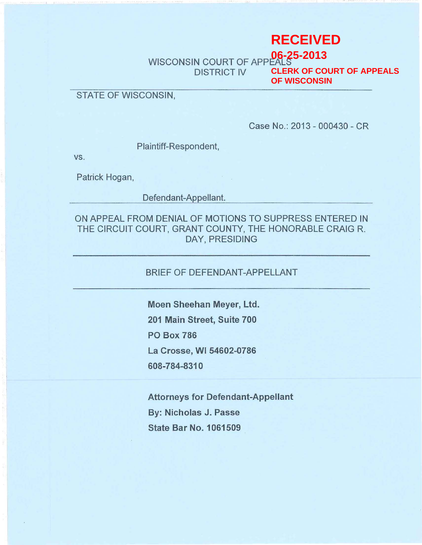# **RECEIVED**

WISCONSIN COURT OF APPEALS DISTRICT IV **06-25-2013 CLERK OF COURT OF APPEALS OF WISCONSIN**

## STATE OF WISCONSIN,

Case No.: 2013 - 000430 - CR

Plaintiff-Respondent,

vs.

Patrick Hogan,

Defendant-Appellant.

ON APPEAL FROM DENIAL OF MOTIONS TO SUPPRESS ENTERED IN THE CIRCUIT COURT, GRANT COUNTY, THE HONORABLE CRAIG R. DAY, PRESIDING

### BRIEF OF DEFENDANT-APPELLANT

Moen Sheehan Meyer, Ltd. 201 Main Street, Suite 700 PO Box 786 La Crosse, WI 54602-0786 608-784-8310

Attorneys for Defendant-Appellant By: Nicholas J. Passe **State Bar No. 1061509**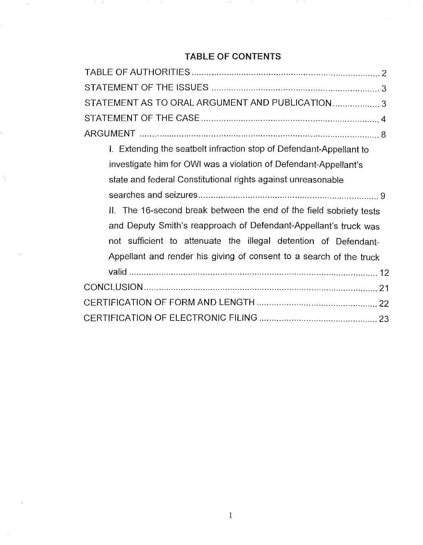# TABLE OF CONTENTS

 $\mathcal{A}_{\mathcal{A}}$ 

Ť,

 $\mathcal{F}_{\rm eff}$ 

and the China

| STATEMENT AS TO ORAL ARGUMENT AND PUBLICATION  3                    |
|---------------------------------------------------------------------|
|                                                                     |
|                                                                     |
| I. Extending the seatbelt infraction stop of Defendant-Appellant to |
| investigate him for OWI was a violation of Defendant-Appellant's    |
| state and federal Constitutional rights against unreasonable        |
|                                                                     |
| II. The 16-second break between the end of the field sobriety tests |
| and Deputy Smith's reapproach of Defendant-Appellant's truck was    |
| not sufficient to attenuate the illegal detention of Defendant-     |
| Appellant and render his giving of consent to a search of the truck |
|                                                                     |
|                                                                     |
|                                                                     |
|                                                                     |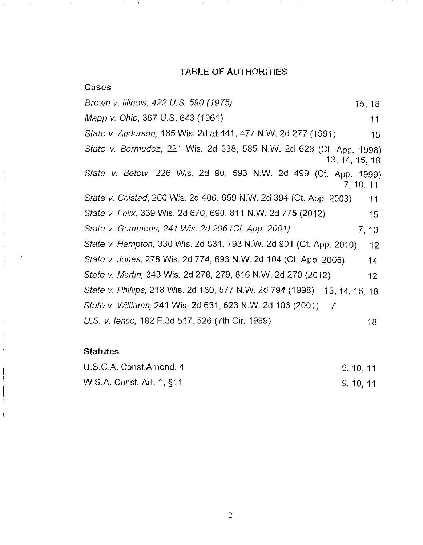## TABLE OF AUTHORITIES

 $\mathcal{L}_{\mathcal{C}}$ 

| Cases                                                                        |                 |
|------------------------------------------------------------------------------|-----------------|
| Brown v. Illinois, 422 U.S. 590 (1975)                                       | 15, 18          |
| Mapp v. Ohio, 367 U.S. 643 (1961)                                            | 11              |
| State v. Anderson, 165 Wis. 2d at 441, 477 N.W. 2d 277 (1991)                | 15              |
| State v. Bermudez, 221 Wis. 2d 338, 585 N.W. 2d 628 (Ct. App. 1998)          | 13, 14, 15, 18  |
| State v. Betow, 226 Wis. 2d 90, 593 N.W. 2d 499 (Ct. App. 1999)              | 7, 10, 11       |
| State v. Colstad, 260 Wis. 2d 406, 659 N.W. 2d 394 (Ct. App. 2003)           | 11              |
| State v. Felix, 339 Wis. 2d 670, 690, 811 N.W. 2d 775 (2012)                 | 15              |
| State v. Gammons, 241 Wis. 2d 296 (Ct. App. 2001)                            | 7, 10           |
| State v. Hampton, 330 Wis. 2d 531, 793 N.W. 2d 901 (Ct. App. 2010)           | 12              |
| State v. Jones, 278 Wis. 2d 774, 693 N.W. 2d 104 (Ct. App. 2005)             | 14              |
| State v. Martin, 343 Wis. 2d 278, 279, 816 N.W. 2d 270 (2012)                | 12 <sup>°</sup> |
| State v. Phillips, 218 Wis. 2d 180, 577 N.W. 2d 794 (1998)<br>13, 14, 15, 18 |                 |
| State v. Williams, 241 Wis. 2d 631, 623 N.W. 2d 106 (2001)<br>$\overline{7}$ |                 |
| U.S. v. lenco, 182 F.3d 517, 526 (7th Cir. 1999)                             | 18              |

## **Statutes**

 $\mathcal{F} \subset \mathcal{F}$ 

 $\frac{1}{2}$ 

 $\begin{array}{c} \vdots \\ \vdots \\ \vdots \end{array}$ 

 $\begin{array}{c} \begin{array}{c} \begin{array}{c} \end{array} \\ \begin{array}{c} \end{array} \end{array} \end{array}$ 

Í. in Hy  $\sim 10^{-10}$ 

10 F.C

| U.S.C.A. Const.Amend. 4   | 9, 10, 11 |  |
|---------------------------|-----------|--|
| W.S.A. Const. Art. 1, §11 | 9, 10, 11 |  |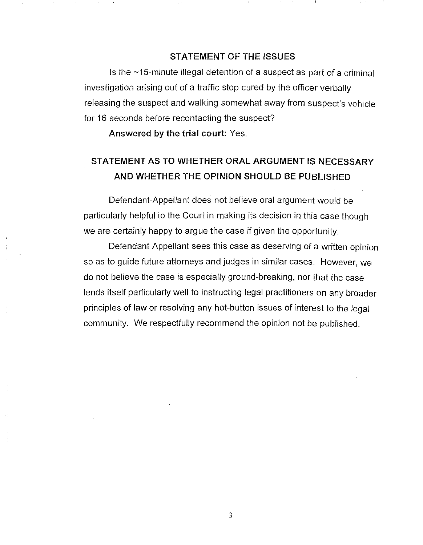#### STATEMENT OF THE ISSUES

Is the  $\sim$ 15-minute illegal detention of a suspect as part of a criminal investigation arising out of a traffic stop cured by the officer verbally releasing the suspect and walking somewhat away from suspect's vehicle for 16 seconds before recontacting the suspect?

Answered by the trial court: Yes.

# STATEMENT AS TO WHETHER ORAL ARGUMENT IS NECESSARY AND WHETHER THE OPINION SHOULD BE PUBLISHED

Defendant-Appellant does not believe oral argument would be particularly helpful to the Court in making its decision in this case though we are certainly happy to argue the case if given the opportunity.

Defendant-Appellant sees this case as deserving of a written opinion so as to guide future attorneys and judges in similar cases. However, we do not believe the case is especially ground-breaking, nor that the case lends itself particularly well to instructing legal practitioners on any broader principles of law or resolving any hot-button issues of interest to the legal community. We respectfully recommend the opinion not be published.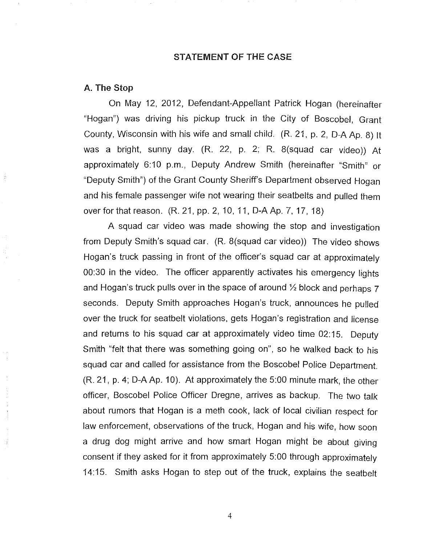#### STATEMENT OF THE CASE

#### A. The Stop

On May 12, 2012, Defendant-Appellant Patrick Hogan (hereinafter "Hogan") was driving his pickup truck in the City of Boscobel, Grant County, Wisconsin with his wife and small child. (R. 21, p. 2, D-A Ap. 8) It was a bright, sunny day. (R. 22, p. 2; R. 8(squad car video)) At approximately 6:10 p.m., Deputy Andrew Smith (hereinafter "Smith" or "Deputy Smith") of the Grant County Sheriff's Department observed Hogan and his female passenger wife not wearing their seatbelts and pulled them over for that reason. (R. 21, pp. 2, 10, 11, D-A Ap. 7, 17, 18)

A squad car video was made showing the stop and investigation from Deputy Smith's squad car. (R. 8(squad car video)) The video shows Hogan's truck passing in front of the officer's squad car at approximately 00:30 in the video. The officer apparently activates his emergency lights and Hogan's truck pulls over in the space of around  $\frac{1}{2}$  block and perhaps 7 seconds. Deputy Smith approaches Hogan's truck, announces he pulled over the truck for seatbelt violations, gets Hogan's registration and license and returns to his squad car at approximately video time 02:15. Deputy Smith "felt that there was something going on", so he walked back to his squad car and called for assistance from the Boscobel Police Department. (R. 21, p. 4; D-A Ap. 10). At approximately the 5:00 minute mark, the other officer, Boscobel Police Officer Dregne, arrives as backup. The two talk about rumors that Hogan is a meth cook, lack of local civilian respect for law enforcement, observations of the truck, Hogan and his wife, how soon a drug dog might arrive and how smart Hogan might be about giving consent if they asked for it from approximately 5:00 through approximately 14:15. Smith asks Hogan to step out of the truck, explains the seatbelt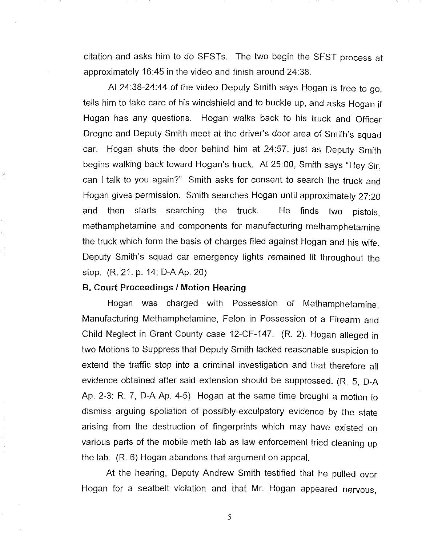citation and asks him to do SFSTs. The two begin the SFST process at approximately 16:45 in the video and finish around 24:38.

At 24:38-24:44 of the video Deputy Smith says Hogan is free to go, tells him to take care of his windshield and to buckle up, and asks Hogan if Hogan has any questions. Hogan walks back to his truck and Officer Dregne and Deputy Smith meet at the driver's door area of Smith's squad car. Hogan shuts the door behind him at 24:57, just as Deputy Smith begins walking back toward Hogan's truck. At 25:00, Smith says "Hey Sir, can I talk to you again?" Smith asks for consent to search the truck and Hogan gives permission. Smith searches Hogan until approximately 27:20 and then starts searching the truck. He finds two pistols, methamphetamine and components for manufacturing methamphetamine the truck which form the basis of charges filed against Hogan and his wife. Deputy Smith's squad car emergency lights remained lit throughout the stop. (R. 21, p. 14; D-AAp. 20)

#### **B. Court Proceedings / Motion Hearing**

Ħ

Hogan was charged with Possession of Methamphetamine, Manufacturing Methamphetamine, Felon in Possession of a Firearm and Child Neglect in Grant County case 12-CF-147. (R. 2). Hogan alleged in two Motions to Suppress that Deputy Smith lacked reasonable suspicion to extend the traffic stop into a criminal investigation and that therefore all evidence obtained after said extension should be suppressed. (R. 5, D-A Ap. 2-3; R. 7, D-A Ap. 4-5) Hogan at the same time brought a motion to dismiss arguing spoliation of possibly-exculpatory evidence by the state arising from the destruction of fingerprints which may have existed on various parts of the mobile meth lab as law enforcement tried cleaning up the lab. (R. 6) Hogan abandons that argument on appeal.

At the hearing, Deputy Andrew Smith testified that he pulled over Hogan for a seatbelt violation and that Mr. Hogan appeared nervous,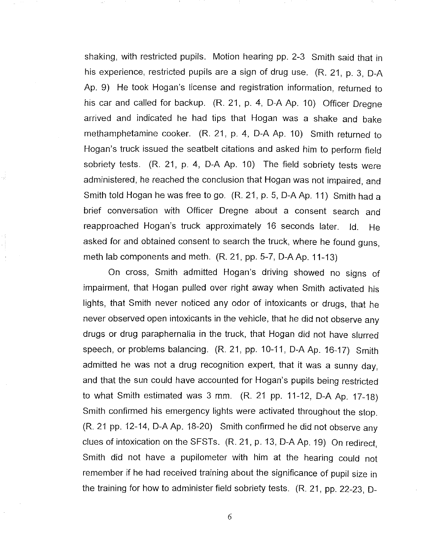shaking, with restricted pupils. Motion hearing pp. 2-3 Smith said that in his experience, restricted pupils are a sign of drug use. (R. 21, p. 3, D-A Ap. 9) He took Hogan's license and registration information, retumed to his car and called for backup. (R. 21, p. 4, D-A Ap. 10) Officer Dregne arrived and indicated he had tips that Hogan was a shake and bake methamphetamine cooker. (R. 21, p. 4, D-A Ap. 10) Smith retumed to Hogan's truck issued the seatbelt citations and asked him to perform field sobriety tests. (R. 21, p. 4, D-A Ap. 10) The field sobriety tests were administered, he reached the conclusion that Hogan was not impaired, and Smith told Hogan he was free to go. (R. 21, p. 5, D-A Ap. **11)** Smith had a brief conversation with Officer Dregne about a consent search and reapproached Hogan's truck approximately 16 seconds later. Id. He asked for and obtained consent to search the truck, where he found guns, meth lab components and meth. (R. 21, pp. 5-7, D-A Ap. 11-13)

On cross, Smith admitted Hogan's driving showed no signs of impairment, that Hogan pulled over right away when Smith activated his lights, that Smith never noticed any odor of intoxicants or drugs, that he never observed open intoxicants in the vehicle, that he did not observe any drugs or drug paraphernalia in the truck, that Hogan did not have slurred speech, or problems balancing. (R. 21, pp. 10-11, D-A Ap. 16-17) Smith admitted he was not a drug recognition expert, that it was a sunny day, and that the sun could have accounted for Hogan's pupils being restricted to what Smith estimated was 3 mm. (R. 21 pp. 11-12, D-A Ap. 17-18) Smith confirmed his emergency lights were activated throughout the stop. (R. 21 pp. 12-14, D-AAp. 18-20) Smith confirmed he did not observe any clues of intoxication on the SFSTs. (R. 21, p. 13, D-A Ap. 19) On redirect, Smith did not have a pupilometer with him at the hearing could not remember if he had received training about the significance of pupil size in the training for how to administer field sobriety tests. (R. 21, pp. 22-23, D-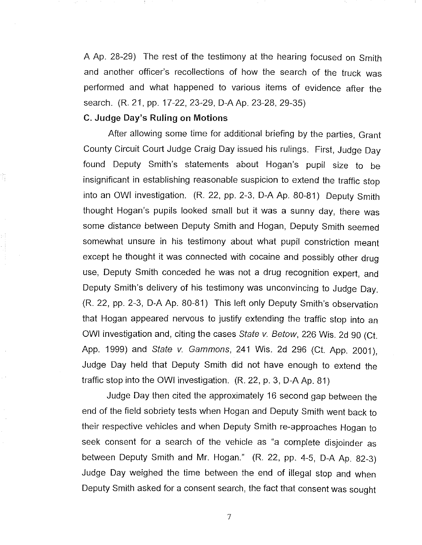A Ap. 28-29) The rest of the testimony at the hearing focused on Smith and another officer's recollections of how the search of the truck was performed and what happened to various items of evidence after the search. (R. 21, pp. 17-22, 23-29, D-A Ap. 23-28, 29-35)

## C. Judge Day's Ruling on Motions

After allowing some time for additional briefing by the parties, Grant County Circuit Court Judge Craig Day issued his rulings. First, Judge Day found Deputy Smith's statements about Hogan's pupil size to be insignificant in establishing reasonable suspicion to extend the traffic stop into an OWl investigation. (R. 22, pp. 2-3, D-A Ap. 80-81) Deputy Smith thought Hogan's pupils looked small but it was a sunny day, there was some distance between Deputy Smith and Hogan, Deputy Smith seemed somewhat unsure in his testimony about what pupil constriction meant except he thought it was connected with cocaine and possibly other drug use, Deputy Smith conceded he was not a drug recognition expert, and Deputy Smith's delivery of his testimony was unconvincing to Judge Day. (R. 22, pp. 2-3, D-A Ap. 80-81) This left only Deputy Smith's observation that Hogan appeared nervous to justify extending the traffic stop into an OWI investigation and, citing the cases State v. Betow, 226 Wis. 2d 90 (Ct. App. 1999) and State v. Gammons, 241 Wis. 2d 296 (Ct. App. 2001), Judge Day held that Deputy Smith did not have enough to extend the traffic stop into the OWl investigation. (R. 22, p. 3, D-A Ap. 81)

Judge Day then cited the approximately 16 second gap between the end of the field sobriety tests when Hogan and Deputy Smith went back to their respective vehicles and when Deputy Smith re-approaches Hogan to seek consent for a search of the vehicle as "a complete disjoinder as between Deputy Smith and Mr. Hogan." (R. 22, pp. 4-5, D-A Ap. 82-3) Judge Day weighed the time between the end of illegal stop and when Deputy Smith asked for a consent search, the fact that consent was sought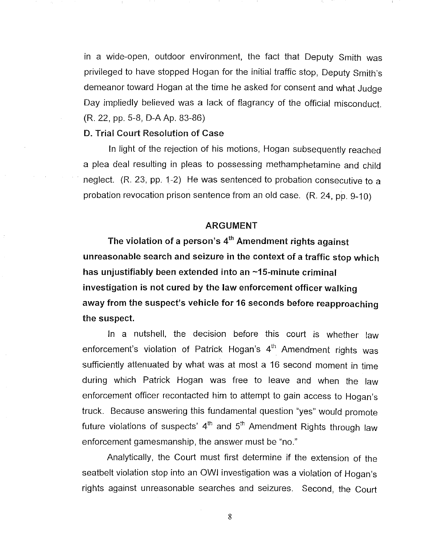in a wide-open, outdoor environment, the fact that Deputy Smith was privileged to have stopped Hogan for the initial traffic stop, Deputy Smith's demeanor toward Hogan at the time he asked for consent and what Judge Day impliedly believed was a lack of flagrancy of the official misconduct. (R. 22, pp. 5-8, D-A Ap. 83-86)

#### D. Trial Court Resolution of Case

In light of the rejection of his motions, Hogan subsequently reached a plea deal resulting in pleas to possessing methamphetamine and child neglect. (R. 23, pp. 1-2) He was sentenced to probation consecutive to a probation revocation prison sentence from an old case. (R. 24, pp. 9-10)

#### ARGUMENT

The violation of a person's  $4<sup>th</sup>$  Amendment rights against unreasonable search and seizure in the context of a traffic stop which has unjustifiably been extended into an  $\sim$ 15-minute criminal investigation is not cured by the law enforcement officer walking away from the suspect's vehicle for 16 seconds before reapproaching the suspect.

In a nutshell, the decision before this court is whether law enforcement's violation of Patrick Hogan's  $4<sup>th</sup>$  Amendment rights was sufficiently attenuated by what was at most a 16 second moment in time during which Patrick Hogan was free to leave and when the law enforcement officer recontacted him to attempt to gain access to Hogan's truck. Because answering this fundamental question "yes" would promote future violations of suspects'  $4<sup>th</sup>$  and  $5<sup>th</sup>$  Amendment Rights through law enforcement gamesmanship, the answer must be "no."

Analytically, the Court must first determine if the extension of the seatbelt violation stop into an OWl investigation was a violation of Hogan's rights against unreasonable searches and seizures. Second, the Court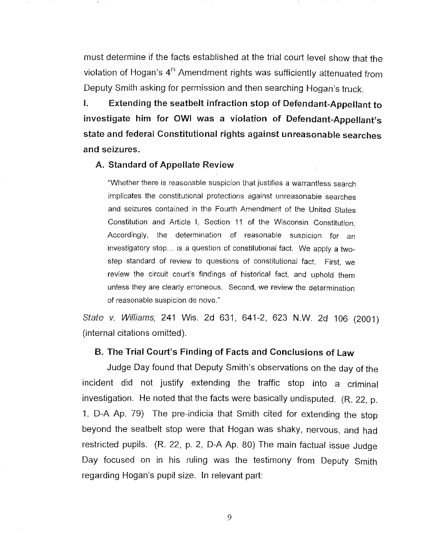must determine if the facts established at the trial court level show that the violation of Hogan's 4<sup>th</sup> Amendment rights was sufficiently attenuated from Deputy Smith asking for permission and then searching Hogan's truck.

I. Extending the seatbelt infraction stop of Defendant-Appellant to investigate him for OWl was a violation of Defendant-Appellant's state and federal Constitutional rights against unreasonable searches and seizures.

#### A. Standard of Appellate Review

"Whether there is reasonable suspicion that justifies a warrantless search implicates the constitutional protections against unreasonable searches and seizures contained in the Fourth Amendment of the United States Constitution and Article I, Section 11 of the Wisconsin Constitution. Accordingly, the determination of reasonable suspicion for an investigatory stop... is a question of constitutional fact. We apply a twostep standard of review to questions of constitutional fact. First, we review the circuit court's findings of historical fact, and uphold them unless they are clearly erroneous. Second, we review the determination of reasonable suspicion de novo."

State v. Williams, 241 Wis. 2d 631, 641-2, 623 N.W. 2d 106 (2001) (internal citations omitted).

## B. The Trial Court's Finding of Facts and Conclusions of Law

Judge Day found that Deputy Smith's observations on the day of the incident did not justify extending the traffic stop into a criminal investigation. He noted that the facts were basically undisputed. (R. 22, p. 1, D-A Ap. 79) The pre-indicia that Smith cited for extending the stop beyond the seatbelt stop were that Hogan was shaky, nervous, and had restricted pupils. (R. 22, p. 2, D-A Ap. 80) The main factual issue Judge Day focused on in his ruling was the testimony from Deputy Smith regarding Hogan's pupil size. In relevant part: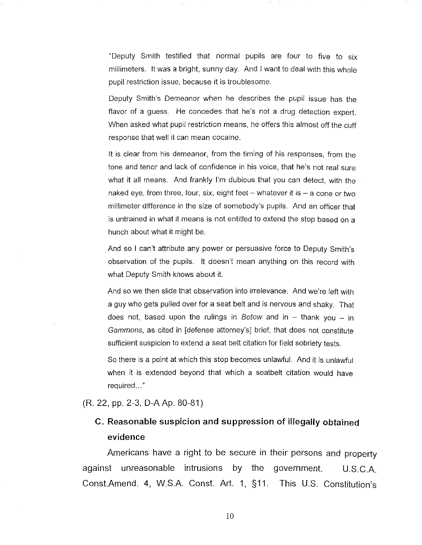"Deputy Smith testified that normal pupils are four to five to six millimeters. It was a bright, sunny day. And I want to deal with this whole pupil restriction issue, because it is troublesome.

Deputy Smith's Demeanor when he describes the pupil issue has the flavor of a guess. He concedes that he's not a drug detection expert. When asked what pupil restriction means, he offers this almost off the cuff response that well it can mean cocaine.

It is clear from his demeanor, from the timing of his responses, from the tone and tenor and lack of confidence in his voice, that he's not real sure what it all means. And frankly I'm dubious that you can detect, with the naked eye, from three, four, six, eight feet  $-$  whatever it is  $-$  a cone or two millimeter difference in the size of somebody's pupils. And an officer that is untrained in what it means is not entitled to extend the stop based on a hunch about what it might be.

And so I can't attribute any power or persuasive force to Deputy Smith's observation of the pupils. It doesn't mean anything on this record with what Deputy Smith knows about it.

And so we then slide that observation into irrelevance. And we're left with a guy who gets pulled over for a seat belt and is nervous and shaky. That does not, based upon the rulings in Betow and in  $-$  thank you  $-$  in Gammons, as cited in [defense attorney's] brief, that does not constitute sufficient suspicion to extend a seat belt citation for field sobriety tests.

So there is a point at which this stop becomes unlawful. And it is unlawful when it is extended beyond that which a seatbelt citation would have required ... "

(R. 22, pp. 2-3, D-AAp. 80-81)

## **C. Reasonable suspicion and suppression of illegally obtained evidence**

Americans have a right to be secure in their persons and property against unreasonable intrusions **by** the government. U.S.CA Const.Amend. 4, W.SA Const. Art. 1, §11. This U.S. Constitution's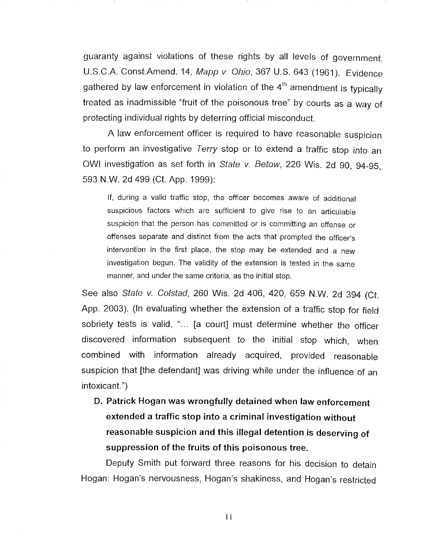guaranty against violations of these rights by all levels of government. U.S.C.A. Const.Amend. 14, Mapp v. Ohio, 367 U.S. 643 (1961). Evidence gathered by law enforcement in violation of the  $4<sup>th</sup>$  amendment is typically treated as inadmissible "fruit of the poisonous tree" by courts as a way of protecting individual rights by deterring official misconduct.

A law enforcement officer is required to have reasonable suspicion to perform an investigative Terry stop or to extend a traffic stop into an OWl investigation as set forth in State v. Betow, 226 Wis. 2d 90, 94-95, 593 NW. 2d 499 (Ct. App. 1999):

If, during a valid traffic stop, the officer becomes aware of additional suspicious factors which are sufficient to give rise to an articulable suspicion that the person has committed or is committing an offense or offenses separate and distinct from the acts that prompted the officer's intervention in the first place, the stop may be extended and a new investigation begun. The validity of the extension is tested in the same manner, and under the same criteria, as the initial stop.

See also State v. Colstad, 260 Wis. 2d 406, 420, 659 N.W. 2d 394 (Ct. App. 2003). (In evaluating whether the extension of a traffic stop for field sobriety tests is valid, "... [a court] must determine whether the officer discovered information subsequent to the initial stop which, when combined with information already acquired, provided reasonable suspicion that [the defendant] was driving while under the influence of an intoxicant.")

**D. Patrick Hogan** was **wrongfully detained when law enforcement extended a traffic stop into a criminal investigation without reasonable suspicion and this illegal detention is deserving of suppression of the fruits of this poisonous tree.** 

Deputy Smith put forward three reasons for his decision to detain Hogan: Hogan's nervousness, Hogan's shakiness, and Hogan's restricted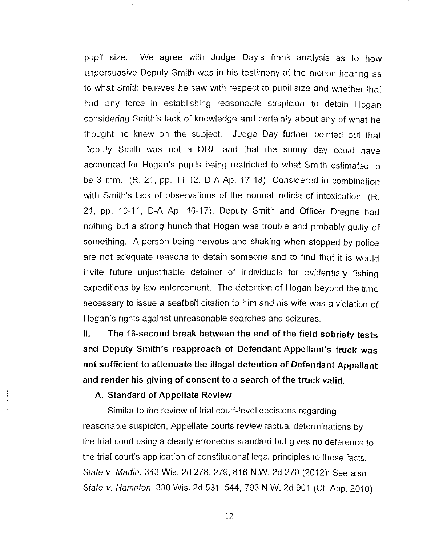pupil size. We agree with Judge Day's frank analysis as to how unpersuasive Deputy Smith was in his testimony at the motion hearing as to what Smith believes he saw with respect to pupil size and whether that had any force in establishing reasonable suspicion to detain Hogan considering Smith's lack of knowledge and certainty about any of what he thought he knew on the subject. Judge Day further pointed out that Deputy Smith was not a ORE and that the sunny day could have accounted for Hogan's pupils being restricted to what Smith estimated to be 3 mm. (R. 21, pp. 11-12, D-A Ap. 17-18) Considered in combination with Smith's lack of observations of the normal indicia of intoxication (R. 21, pp. 10-11, D-A Ap. 16-17), Deputy Smith and Officer Dregne had nothing but a strong hunch that Hogan was trouble and probably guilty of something. A person being nervous and shaking when stopped by police are not adequate reasons to detain someone and to find that it is would invite future unjustifiable detainer of individuals for evidentiary fishing expeditions by law enforcement. The detention of Hogan beyond the time necessary to issue a seatbelt citation to him and his wife was a violation of Hogan's rights against unreasonable searches and seizures.

**II. The 16-second break between the end of the field sobriety tests and** Deputy **Smith's reapproach of Defendant-Appellant's truck was not sufficient to attenuate the illegal detention of Defendant-Appellant and render his giving of consent to a search of the truck valid.** 

**A. Standard of Appellate Review** 

Similar to the review of trial court-level decisions regarding reasonable suspicion, Appellate courts review factual determinations by the trial court using a clearly erroneous standard but gives no deference to the trial court's application of constitutional legal principles to those facts. State v. Martin, 343 Wis. 2d 278, 279, 816 N.W. 2d 270 (2012); See also State v. Hampton, 330 Wis. 2d 531, 544, 793 N.W. 2d 901 (Ct. App. 2010).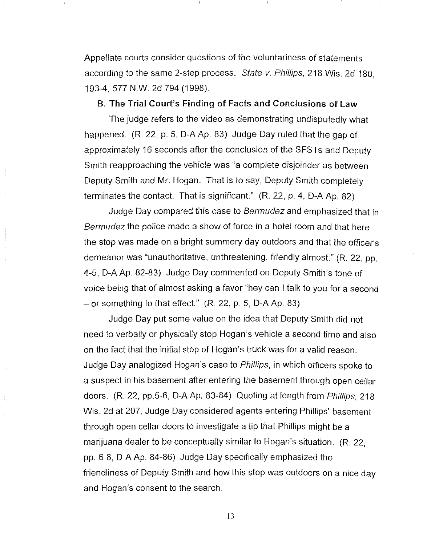Appellate courts consider questions of the voluntariness of statements according to the same 2-step process. State v. Phillips, 218 Wis. 2d 180, 193-4, 577 N.w. 2d 794 (1998).

### B. The Trial Court's Finding of Facts and Conclusions of Law

The judge refers to the video as demonstrating undisputedly what happened. (R. 22, p. 5, D-A Ap. 83) Judge Day ruled that the gap of approximately 16 seconds after the conclusion of the SFSTs and Deputy Smith reapproaching the vehicle was "a complete disjoinder as between Deputy Smith and Mr. Hogan. That is to say, Deputy Smith completely terminates the contact. That is significant." (R. 22, p. 4, D-A Ap. 82)

Judge Day compared this case to Bermudez and emphasized that in Bermudez the police made a show of force in a hotel room and that here the stop was made on a bright summery day outdoors and that the officer's demeanor was "unauthoritative, unthreatening, friendly almost." (R. 22, pp. 4-5, D-A Ap. 82-83) Judge Day commented on Deputy Smith's tone of voice being that of almost asking a favor "hey can I talk to you for a second  $-$  or something to that effect."  $(R. 22, p. 5, D-A Ap. 83)$ 

Judge Day put some value on the idea that Deputy Smith did not need to verbally or physically stop Hogan's vehicle a second time and also on the fact that the initial stop of Hogan's truck was for a valid reason. Judge Day analogized Hogan's case to Phillips, in which officers spoke to a suspect in his basement after entering the basement through open cellar doors. (R. 22, pp.5-6, D-A Ap. 83-84) Quoting at length from Phillips, 218 Wis. 2d at 207, Judge Day considered agents entering Phillips' basement through open cellar doors to investigate a tip that Phillips might be a marijuana dealer to be conceptually similar to Hogan's situation. (R. 22, pp. 6-8, D-A Ap. 84-86) Judge Day specifically emphasized the friendliness of Deputy Smith and how this stop was outdoors on a nice day and Hogan's consent to the search.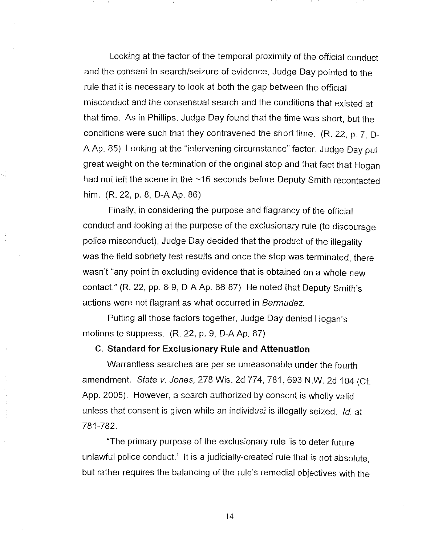Looking at the factor of the temporal proximity of the official conduct and the consent to search/seizure of evidence, Judge Day pointed to the rule that it is necessary to look at both the gap between the official misconduct and the consensual search and the conditions that existed at that time. As in Phillips, Judge Day found that the time was short, but the conditions were such that they contravened the short time. (R. 22, p. 7, D-A Ap. 85) Looking at the "intervening circumstance" factor, Judge Day put great weight on the termination of the original stop and that fact that Hogan had not left the scene in the ~16 seconds before Deputy Smith recontacted him. (R. 22, p. 8, D-A Ap. 86)

Finally, in considering the purpose and flagrancy of the official conduct and looking at the purpose of the exclusionary rule (to discourage police misconduct), Judge Day decided that the product of the illegality was the field sobriety test results and once the stop was terminated, there wasn't "any point in excluding evidence that is obtained on a whole new contact" (R. 22, pp. 8-9, D-A Ap. 86-87) He noted that Deputy Smith's actions were not flagrant as what occurred in Bermudez.

Putting all those factors together, Judge Day denied Hogan's motions to suppress. (R. 22, p. 9, D-A Ap. 87)

#### **C. Standard for Exclusionary Rule and Attenuation**

Warrantless searches are per se unreasonable under the fourth amendment. State v. Jones, 278 Wis. 2d 774, 781, 693 N.W. 2d 104 (Ct. App. 2005). However, a search authorized by consent is wholly valid unless that consent is given while an individual is illegally seized. Id. at 781-782.

"The primary purpose of the exclusionary rule 'is to deter future unlawful police conduct.' It is a judicially-created rule that is not absolute, but rather requires the balancing of the rule's remedial objectives with the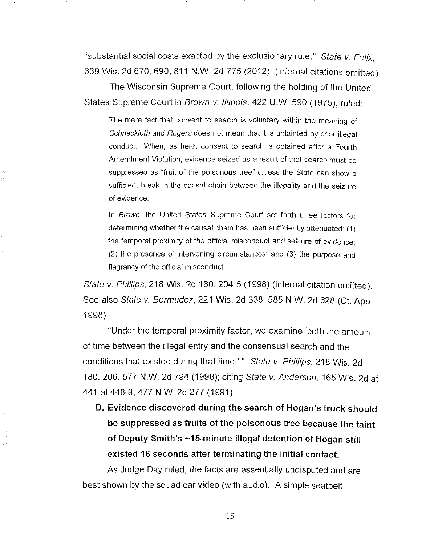"substantial social costs exacted by the exclusionary rule." State  $v$ . Felix, 339 Wis. 2d 670,690,811 N.w. 2d 775 (2012). (internal citations omitted)

The Wisconsin Supreme Court, following the holding of the United States Supreme Court in Brown v. Illinois, 422 U.W. 590 (1975), ruled:

The mere fact that consent to search is voluntary within the meaning of Schneckloth and Rogers does not mean that it is untainted by prior illegal conduct. When, as here, consent to search is obtained after a Fourth Amendment Violation, evidence seized as a result of that search must be suppressed as "fruit of the poisonous tree" unless the State can show a sufficient break in the causal chain between the illegality and the seizure of evidence.

In Brown, the United States Supreme Court set forth three factors for determining whether the causal chain has been sufficiently attenuated: (1) the temporal proximity of the official misconduct and seizure of evidence; (2) the presence of intervening circumstances; and (3) the purpose and flagrancy of the official misconduct.

State v. Phillips, 218 Wis. 2d 180, 204-5 (1998) (internal citation omitted). See also State v. Bermudez, 221 Wis. 2d 338, 585 N.W. 2d 628 (Ct. App. 1998)

"Under the temporal proximity factor, we examine 'both the amount of time between the illegal entry and the consensual search and the conditions that existed during that time.'" State v. Phillips, 218 Wis. 2d 180,206,577 N.w. 2d 794 (1998); citing state v. Anderson, 165 Wis. 2d at 441 at 448-9, 477 N.W. 2d 277 (1991).

**D. Evidence discovered during the search of Hogan's truck should be suppressed as fruits of the poisonous tree because the taint of Deputy Smith's -15-minute illegal detention of Hogan still existed 16 seconds after terminating the initial contact.** 

As Judge Day ruled, the facts are essentially undisputed and are best shown by the squad car video (with audio). A simple seatbelt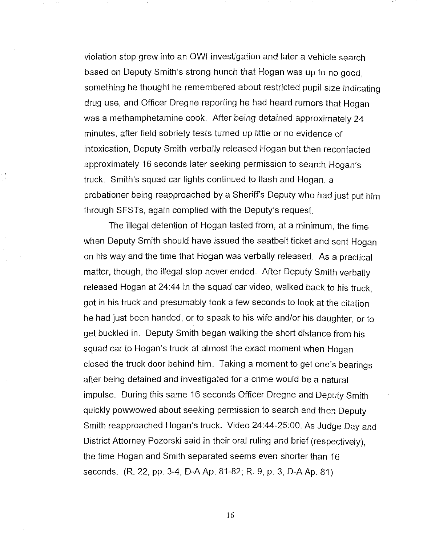violation stop grew into an OWl investigation and later a vehicle search based on Deputy Smith's strong hunch that Hogan was up to no good, something he thought he remembered about restricted pupil size indicating drug use, and Officer Dregne reporting he had heard rumors that Hogan was a methamphetamine cook. After being detained approximately 24 minutes, after field sobriety tests tumed up little or no evidence of intoxication, Deputy Smith verbally released Hogan but then recontacted approximately 16 seconds later seeking permission to search Hogan's truck. Smith's squad car lights continued to flash and Hogan, a probationer being reapproached by a Sheriff's Deputy who had just put him through SFSTs, again complied with the Deputy's request.

The illegal detention of Hogan lasted from, at a minimum, the time when Deputy Smith should have issued the seatbelt ticket and sent Hogan on his way and the time that Hogan was verbally released. As a practical matter, though, the illegal stop never ended. After Deputy Smith verbally released Hogan at 24:44 in the squad car video, walked back to his truck , got in his truck and presumably took a few seconds to look at the citation he had just been handed, or to speak to his wife and/or his daughter, or to get buckled in. Deputy Smith began walking the short distance from his squad car to Hogan's truck at almost the exact moment when Hogan closed the truck door behind him. Taking a moment to get one's bearings after being detained and investigated for a crime would be a natural impulse. During this same 16 seconds Officer Dregne and Deputy Smith quickly powwowed about seeking permission to search and then Deputy Smith reapproached Hogan's truck. Video 24:44-25:00. As Judge Day and District Attorney Pozorski said in their oral ruling and brief (respectively), the time Hogan and Smith separated seems even shorter than 16 seconds. (R. 22, pp. 3-4, D-AAp. 81-82; R. 9, p. 3, D-AAp. 81)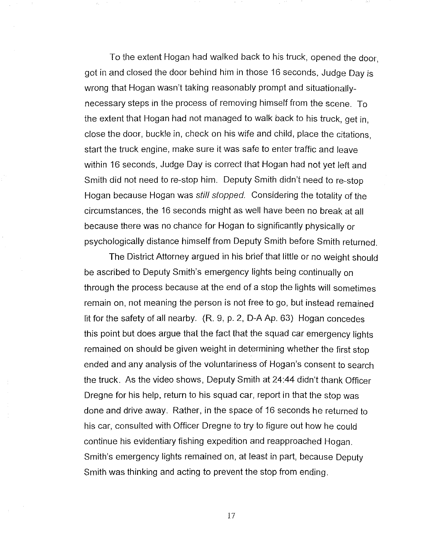To the extent Hogan had walked back to his truck, opened the door, got in and closed the door behind him in those 16 seconds, Judge Day is wrong that Hogan wasn't taking reasonably prompt and situationallynecessary steps in the process of removing himself from the scene. To the extent that Hogan had not managed to walk back to his truck, get in, close the door, buckle in, check on his wife and child, place the citations , start the truck engine, make sure it was safe to enter traffic and leave within 16 seconds, Judge Day is correct that Hogan had not yet left and Smith did not need to re-stop him. Deputy Smith didn't need to re-stop Hogan because Hogan was still stopped. Considering the totality of the circumstances, the 16 seconds might as well have been no break at all because there was no chance for Hogan to significantly physically or psychologically distance himself from Deputy Smith before Smith returned.

The District Attorney argued in his brief that little or no weight should be ascribed to Deputy Smith's emergency lights being continually on through the process because at the end of a stop the lights will sometimes remain on, not meaning the person is not free to go, but instead remained lit for the safety of all nearby. (R. 9, p. 2, D-A Ap. 63) Hogan concedes this point but does argue that the fact that the squad car emergency lights remained on should be given weight in determining whether the first stop ended and any analysis of the voluntariness of Hogan's consent to search the truck. As the video shows, Deputy Smith at 24:44 didn't thank Officer Dregne for his help, return to his squad car, report in that the stop was done and drive away. Rather, in the space of 16 seconds he returned to his car, consulted with Officer Dregne to try to figure out how he could continue his evidentiary fishing expedition and reapproached Hogan. Smith's emergency lights remained on, at least in part, because Deputy Smith was thinking and acting to prevent the stop from ending.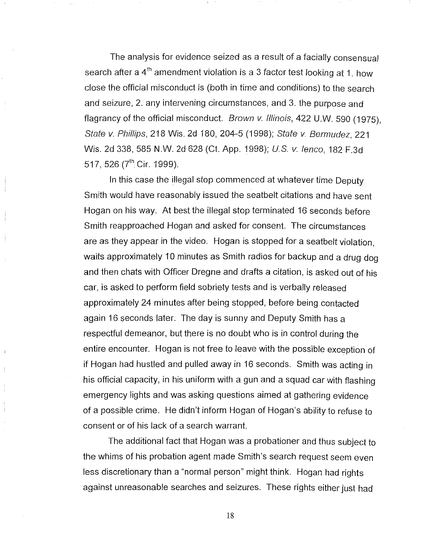The analysis for evidence seized as a result of a facially consensual search after a  $4<sup>th</sup>$  amendment violation is a 3 factor test looking at 1. how close the official misconduct is (both in time and conditions) to the search and seizure, 2. any intervening circumstances, and 3. the purpose and flagrancy of the official misconduct. Brown v. Illinois, 422 U.W. 590 (1975). State v. Phillips, 218 Wis. 2d 180, 204-5 (1998); State v. Bermudez, 221 Wis. 2d 338, 585 N.W. 2d 628 (Ct. App. 1998); U.S. v. lenco, 182 F.3d 517, 526 ( $7^{\text{th}}$  Cir. 1999).

In this case the illegal stop commenced at whatever time Deputy. Smith would have reasonably issued the seatbelt citations and have sent Hogan on his way. At best the illegal stop terminated 16 seconds before Smith reapproached Hogan and asked for consent. The circumstances are as they appear in the video. Hogan is stopped for a seatbelt violation, waits approximately 10 minutes as Smith radios for backup and a drug dog and then chats with Officer Dregne and drafts a citation, is asked out of his car, is asked to perform field sobriety tests and is verbally released approximately 24 minutes after being stopped, before being contacted again 16 seconds later. The day is sunny and Deputy Smith has a respectful demeanor, but there is no doubt who is in control during the entire encounter. Hogan is not free to leave with the possible exception of if Hogan had hustled and pulled away in 16 seconds. Smith was acting in his official capacity, in his uniform with a gun and a squad car with flashing emergency lights and was asking questions aimed at gathering evidence of a possible crime. He didn't inform Hogan of Hogan's ability to refuse to consent or of his lack of a search warrant.

The additional fact that Hogan was a probationer and thus subject to the whims of his probation agent made Smith's search request seem even less discretionary than a "normal person" might think. Hogan had rights against unreasonable searches and seizures. These rights either just had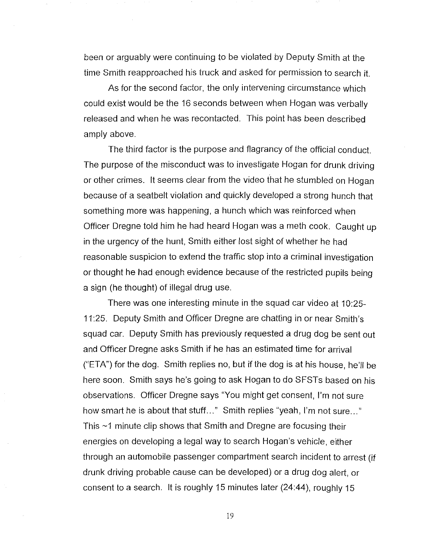been or arguably were continuing to be violated by Deputy Smith at the time Smith reapproached his truck and asked for permission to search it.

As for the second factor, the only intervening circumstance which could exist would be the 16 seconds between when Hogan was verbally released and when he was recontacted. This point has been described amply above.

The third factor is the purpose and flagrancy of the official conduct. The purpose of the misconduct was to investigate Hogan for drunk driving or other crimes. It seems clear from the video that he stumbled on Hogan because of a seatbelt violation and quickly developed a strong hunch that something more was happening, a hunch which was reinforced when Officer Dregne told him he had heard Hogan was a meth cook. Caught up in the urgency of the hunt, Smith either lost sight of whether he had reasonable suspicion to extend the traffic stop into a criminal investigation or thought he had enough evidence because of the restricted pupils being a sign (he thought) of illegal drug use.

There was one interesting minute in the squad car video at 10:25- 11 :25. Deputy Smith and Officer Dregne are chatting in or near Smith's squad car. Deputy Smith has previously requested a drug dog be sent out and Officer Dregne asks Smith if he has an estimated time for arrival ("ETA") for the dog. Smith replies no, but if the dog is at his house, he'll be here soon. Smith says he's going to ask Hogan to do SFSTs based on his observations. Officer Dregne says "You might get consent, I'm not sure how smart he is about that stuff..." Smith replies "yeah, I'm not sure..." This ~1 minute clip shows that Smith and Dregne are focusing their energies on developing a legal way to search Hogan's vehicle, either through an automobile passenger compartment search incident to arrest (if drunk driving probable cause can be developed) or a drug dog alert, or consent to a search. It is roughly 15 minutes later (24:44), roughly 15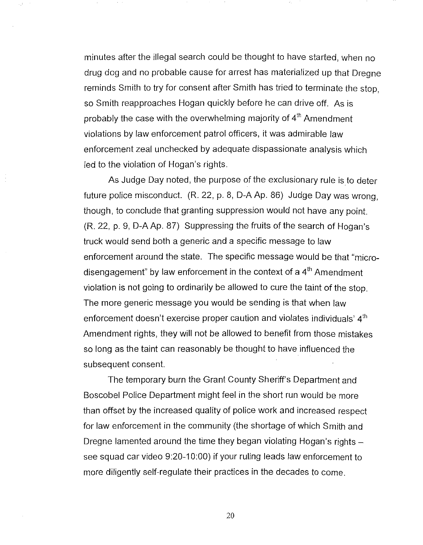minutes after the illegal search could be thought to have started, when no drug dog and no probable cause for arrest has materialized up that Dregne reminds Smith to try for consent after Smith has tried to terminate the stop, so Smith reapproaches Hogan quickly before he can drive off. As is probably the case with the overwhelming majority of  $4<sup>th</sup>$  Amendment violations by law enforcement patrol officers, it was admirable law enforcement zeal unchecked by adequate dispassionate analysis which led to the violation of Hogan's rights.

As Judge Day noted, the purpose of the exclusionary rule is to deter future police misconduct. (R. 22, p. 8, D-A Ap. 86) Judge Day was wrong, though, to conclude that granting suppression would not have any point. (R. 22, p. 9, D-A Ap. 87) Suppressing the fruits of the search of Hogan's truck would send both a generic and a specific message to law enforcement around the state. The specific message would be that "microdisengagement" by law enforcement in the context of a  $4<sup>th</sup>$  Amendment violation is not going to ordinarily be allowed to cure the taint of the stop. The more generic message you would be sending is that when law enforcement doesn't exercise proper caution and violates individuals'  $4<sup>th</sup>$ Amendment rights, they will not be allowed to benefit from those mistakes so long as the taint can reasonably be thought to have influenced the subsequent consent.

The temporary burn the Grant County Sheriff's Department and Boscobel Police Department might feel in the short run would be more than offset by the increased quality of police work and increased respect for law enforcement in the community (the shortage of which Smith and Dregne lamented around the time they began violating Hogan's rights  $$ see squad car video 9:20-10:00) if your ruling leads law enforcement to more diligently self-regulate their practices in the decades to come.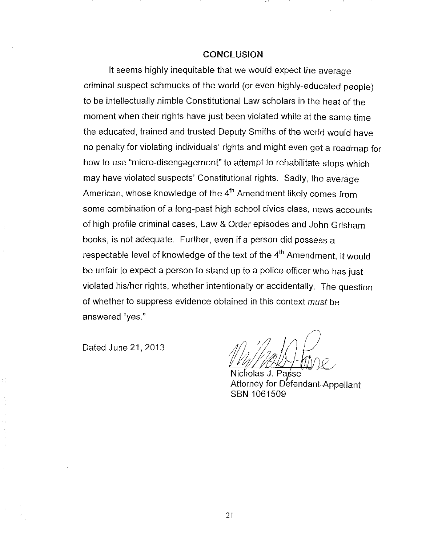#### **CONCLUSION**

It seems highly inequitable that we would expect the average criminal suspect schmucks of the world (or even highly-educated people) to be intellectually nimble Constitutional Law scholars in the heat of the moment when their rights have just been violated while at the same time the educated, trained and trusted Deputy Smiths of the world would have no penalty for violating individuals' rights and might even get a roadmap for how to use "micro-disengagement" to attempt to rehabilitate stops which may have violated suspects' Constitutional rights, Sadly, the average American, whose knowledge of the  $4<sup>th</sup>$  Amendment likely comes from some combination of a long-past high school civics class, news accounts of high profile criminal cases, Law & Order episodes and John Grisham books, is not adequate, Further, even if a person did possess a respectable level of knowledge of the text of the 4<sup>th</sup> Amendment, it would be unfair to expect a person to stand up to a police officer who has just violated his/her rights, whether intentionally or accidentally, The question of whether to suppress evidence obtained in this context *must* be answered "yes,"

Dated June 21, 2013

Nicholas J. Passe Attorney for Defendant-Appellant SBN 1061509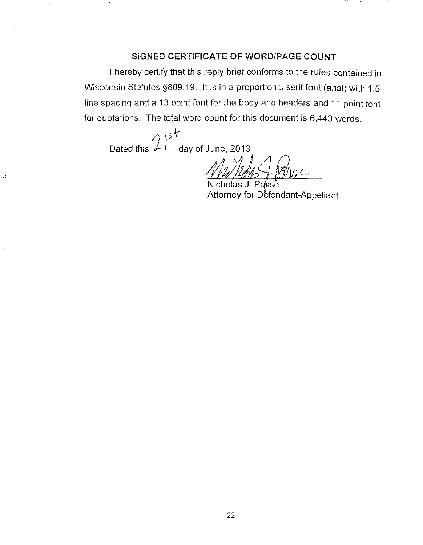## SIGNED CERTIFICATE OF WORD/PAGE COUNT

I hereby certify that this reply brief conforms to the rules contained in Wisconsin Statutes §809.19. It is in a proportional serif font (arial) with 1.5 line spacing and a 13 point font for the body and headers and 11 point font for quotations. The total word count for this document is 6,443 words.

Dated this  $\frac{2!}{5!}$  day of June, 2013

Ĵ.

Nicholas J. Passe Attorney for Defendant-Appellant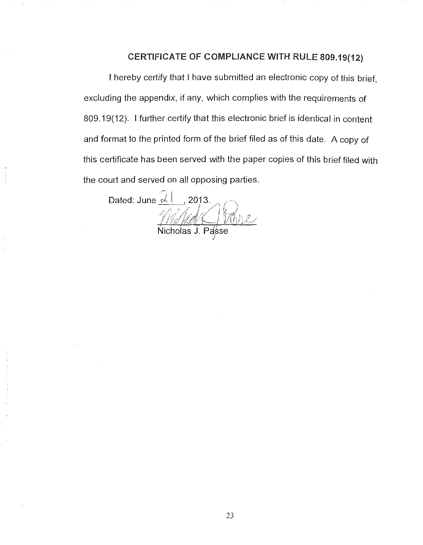## CERTIFICATE OF COMPLIANCE WITH RULE 809.19(12)

I hereby certify that I have submitted an electronic copy of this brief, excluding the appendix, if any, which complies with the requirements of 809.19(12). I further certify that this electronic brief is identical in content and format to the printed form of the brief filed as of this date. A copy of this certificate has been served with the paper copies of this brief filed with the court and served on all opposing parties.

Dated: June $\left|\frac{\partial f}{\partial x}\right|$ , 2013. <u>Mistral Hanse</u> Nicholas J. Passe